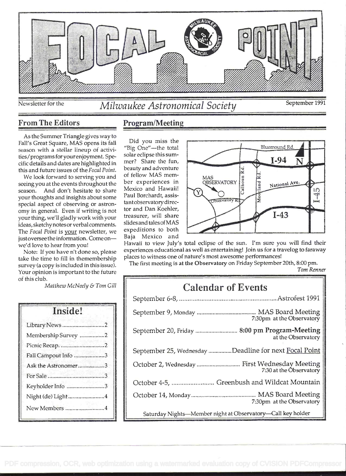

# Newsletter for the *Milwaukee Astronomical Society* September 1991

From The Editors Program/Meeting

As the Summer Triangle gives way to Fall's Great Square, MAS opens its fall season with a stellar lineup of activities/programs foryourenjoyment. Specific details and dates are highlighted in this and future issues of the Focal Point. beauty and adventure<br>We look forward to serving you and of fellow MAS mem-

We look forward to serving you and of fellow MAS mem-<br>eing you at the events throughout the ber experiences in seeing you at the events throughout the season. And don't hesitate to share your thoughts and insights about some special aspect of observing or astronomy in general. Even if writing is not your thing, we'll gladly work with your ideas, sketchy notesor verbal comments. The Focal Point is your newsletter, we just oversee the information. Come onwe'd love to hear from you!

Note: If you have n't done so, please take the time to fill in themembership survey (a copy is included in this issue). Your opinion is important to the future of this club.

Matthew McNeely & Tom Gill

| Inside!             |  |
|---------------------|--|
| Library News 2      |  |
| Membership Survey 2 |  |
| Picnic Recap2       |  |
| Fall Campout Info 3 |  |
| Ask the Astronomer3 |  |
|                     |  |
| Keyholder Info 3    |  |
| Night (de) Light4   |  |
| New Members 4       |  |

# Did you miss the beauty and adventure Mexico and Hawaii! tantobservatory director and Dan Koehler, treasurer, will share slidesand tales of MAS expeditions to both



Hawaii to view July's total eclipse of the sun. I'm sure you will find their experiences educational as well as entertaining! Join us for a travelog to faraway places to witness one of nature's most awesome performances!

The first meeting is at the Observatory on Friday September 20th, 8:00 pm. Tom Renner

# Calendar of Events

| 7:30pm at the Observatory                                                |  |  |
|--------------------------------------------------------------------------|--|--|
| September 20, Friday  8:00 pm Program-Meeting<br>at the Observatory      |  |  |
| September 25, Wednesday Deadline for next Focal Point                    |  |  |
| October 2, Wednesday  First Wednesday Meeting<br>7:30 at the Observatory |  |  |
| October 4-5,  Greenbush and Wildcat Mountain                             |  |  |
| 7:30pm at the Observatory                                                |  |  |
| Saturday Nights-Member night at Observatory-Call key holder              |  |  |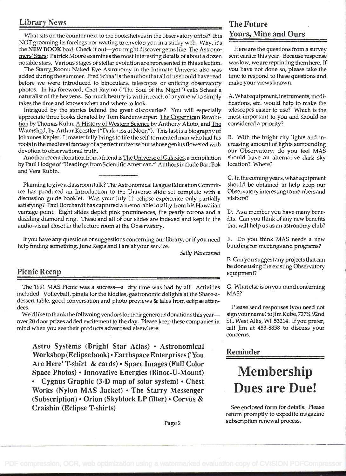# Library News The Future

What sits on the counter next to the bookshelves in the observatory office? It is NOT grooming its forelegs nor waiting to envelop you in a sticky web. Why, it's the NEW BOOK box! Check it out-you might discover gems like The Astronomers' Stars: Patrick Moore examines the most interesting details of about a dozen notable stars. Various stages of stellar evolution are represented in this selection.

The Starry Room: Naked Eye Astronomy in the Intimate Universe also was added during the summer. Fred Schaaf is the author that all of us should have read before we were introduced to binoculars, telescopes or enticing observatory photos. In his foreword, Chet Raymo ("The Soul of the Night") calls Schaaf a naturalist of the heavens. So much beauty is within reach of anyone who simply takes the time and knows when and where to look.

Intrigued by the stories behind the great discoveries? You will especially appreciate three books donated by Tom Bardenwerper: The Copernican Revolution by Thomas Kuhn, A History of Western Science by Anthony Alioto, and The Watershed, by Arthur Koestler ("Darkness at Noon"). This last is a biography of Johannes Kepler. It masterfully brings to life the self-tormented man who had his roots in the medieval fantasy of a perfect universe but whose genius flowered with devotion to observational truth.

Another recent donation from a friend is The Universe of Galaxies, a compilation by Paul Hodge of "Readings from Scientific American." Authors include Bart Bok and Vera Rubin.

Planning to give a classroom talk? The Astronomical League Education Committee has produced an Introduction to the Universe slide set complete with a discussion guide booklet. Was your July 11 eclipse experience only partially satisfying? Paul Borchardt has captured a memorable totality from his Hawaiian vantage point. Eight slides depict pink prominences, the pearly corona and a dazzling diamond ring. These and all of our slides are indexed and kept in the audio-visual closet in the lecture room at the Observatory.

If you have any questions or suggestions concerning our library, or if you need E. Do you think MAS needs a new help finding something, June Regis and I are at your service. **building for meetings and programs**?

Sally Waracznski

The 1991 MAS Picnic was a success-a dry time was had by all! Activities included: Volleyball, pinata for the kiddies, gastronomic delights at the Share-adessert-table, good conversation and photo previews & tales from eclipse attendees.

We'd like to thank the follwoing vendors for their generous donations this yearover 20 door prizes added excitement to the day. Please keep these companies in mind when you see their products advertised elsewhere:

Astro Systems (Bright Star Atlas) • Astronomical Workshop (Eclipse book) • Earthspace Enterprises ('You Are Here' T-shirt & cards) • Space Images (Full Color Space Photos) • Innovative Energies (Binoc-U-Mount) Cygnus Graphic  $(3-D)$  map of solar system)  $\cdot$  Chest Works (Nylon MAS Jacket) . The Starry Messenger (Subscription)  $\cdot$  Orion (Skyblock LP filter)  $\cdot$  Corvus &

Craishin (Eclipse T-shirts)

# Yours, Mine and Ours

Here are the questions from a survey sent earlier this year. Because response was low, we are reprinting them here. If you have not done so, please take the time to respond to these questions and make your views known.

A. What equipment, instruments, modifications, etc. would help to make the telescopes easier to use? Which is the most important to you and should be considered a priority?

B. With the bright city lights and increasing amount of lights surrounding our Observatory, do you feel MAS should have an alternative dark sky location? Where?

C. In the comingyears, whatequipment should be obtained to help keep our Observatory interesting tomembers and visitors?

D. As a member you have many benefits. Can you think of any new benefits that will help us as an astronomy club?

F. Can you suggestany projects that can **be done using the existing Observatory**<br> **Picnic Recap** equipment?

> G. Whatelseisonyou mind concerning MAS?

> Please send responses (you need not sign your name) to Jim Kube, 727S. 92nd St., West Allis, WI 53214. If you prefer, call Jim at 453-8858 to discuss your concerns.

# Reminder

# Membership Dues are Due!

See enclosed form for details. Please return promptly to expedite magazine subscription renewal process.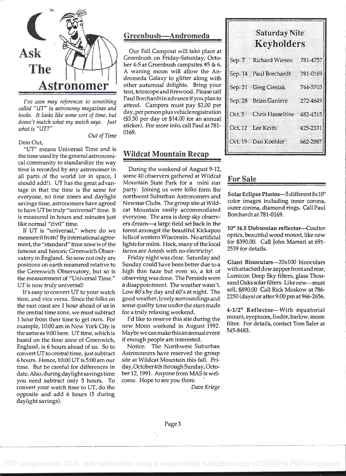

I've seen may references to something called "UT" in astronomy magazines and books. It looks like some sort of time, but doesn't match what my watch says. Just what is "UT?"

Dear Out,

# Out of Time

"UT" means Universal Time and is the time used by the general astronomical community to standardize the way time is recorded by any astronomer in all parts of the world (or in space, <sup>I</sup> should add!). UT has the great advantage in that the time is the same for everyone, no time zones and daylight savings time, astronomers have agreed to have UT be truly "universal" time. It is measured in hours and minutes just like normal "civil" time.

If UT is "universal," where do we measure itfrom? By international agreement, the "standard" time zone is of the famous and historic Greenwich Observatory in England. So now not only are positions on earth measured relative to the Greenwich Observatory, but so is the measurement of "Universal Time." UT is now truly universal!

It's easy to convert UT to your watch time, and vice versa. Since the folks on the east coast are 1 hour ahead of us in the central time zone, we must subtract I hour from their time to get ours. For example, 10:00 am in New York City is the same as 9:00 here. UT time, which is based on the time zone of Greenwich, England, is 6 hours ahead of us. So to convert UT to central time, just subtract 6 hours. Hence, 10:00 UT is 5:00 am our time. But be careful for differences in date. Also, during daylight savings time you need subtract only 5 hours. To convert your watch time to UT, do the opposite and add 6 hours (5 during daylight savings).

# Greenbush-Andromeda

Our Fall Campout will take place at Greenbush on Friday-Saturday, October 4-5 at Greenbush campsites #5 & 6. A waning moon will allow the Andromeda Galaxy to glitter along with other autumnal delights. Bring your tent, telescope and firewood. Please call Paul Borchardt in advance if you plan to attend. Campers must pay \$2.00 per day, per person plus vehicle registration (\$3.50 per day or \$14.00 for an annual sticker). For more info, call Paul at 781- 0169.

# Wildcat Mountain Recap

During the weekend of August 9-12, some 40 observers gathered at Wildcat Mountain State Park for a mini star party. Joining us were folks form the northwest Suburban Astronomers and Newstar Clubs. The group site at Wildcat Mountain easily accommodated everyone. The area is deep sky observers dream-a large field set back in the forest amongst the beautiful Kickapoo hills of western Wisconsin. No artificial lights for miles. Heck, many of the local farms are Amish with no electricity!

Friday night was clear. Saturday and Sunday could have been better due to a high thin haze but even so, a lot of observing was done. The Persieds were a disappointment. The weather wasn't. Low 80's by day and 60's at night. The good weather, lovely surroundings and some quality time under the stars made for a truly relaxing weekend.

I'd like to reserve this site during the new Moon weekend in August 1992. Maybe we can make thisan annual event if enough people are interested.

Notice: The Northwest Suburban Astronomers have reserved the group site at Wildcat Mountain this fall. Friday, October4th through Sunday, October 12, 1991. Anyone from MAS is welcome. Hope to see you there.

Dave Kriege

| <b>Saturday Nite</b><br><b>Keyholders</b> |          |
|-------------------------------------------|----------|
| Sep. 7 Richard Wiesen 781-4757            |          |
| Sep. 14 Paul Borchardt 781-0169           |          |
| Sep. 21 Greg Cieslak 744-5703             |          |
| Sep. 28 Brian Ganiere 272-4649            |          |
| Oct. 5 Chris Hasseltine 482-4515          |          |
| Oct. 12 Lee Keith                         | 425-2331 |

662-2987

# For Sale

Oct. 19 Dan Koehler

Solar Eclipse Photos-5 different 8x10" color images including inner corona, outer corona, diamond rings. Call Paul Borchardt at 781-0169.

10" f4.5 Dobsonian reflector-Coulter optics, beautiful wood mount, like new for \$390.00. Call John Marran at 691- 2539 for details.

Giant Binoculars-20x100 binoculars with attached dew zapper frontand rear, Lumicon Deep Sky filters, glass Thousand Oaks solar filters. Like new-must sell, \$890.00 Call Rick Moskow at 786- 2250 (days) or after 9:00 pm at 966-2656.

4-1/2" Reflector-With equatorial mount, eyepieces, finder, barlow, moon filter. For details, contact Tom Saler at 545-8483.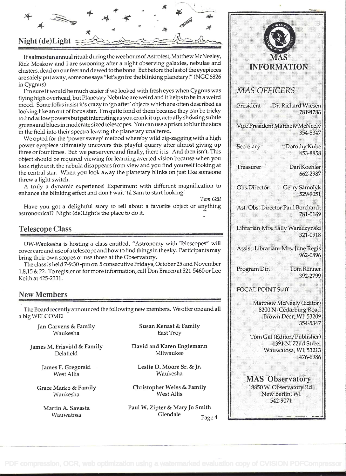

It's almost an annual ritual: during the wee hours of Astrofest, Matthew McNeeley, Rick Moskow and I are swooning after a night observing galaxies, nebulae and clusters, dead on our feet and dewed to thebone. Butbefore the last of the eyepieces are safely put away, someone says "let's go for the blinking planetary!" (NCC 6826 in Cygnus)

I'm sure it would be much easier if we looked with fresh eyes when Cygnus was flying high overhead, but Planetary Nebulae are weird and it helps to be in a weird mood. Some folks insist it's crazy to 'go after' objects which are often described as  $\|$  President looking like an out of focus star. I'm quite fond of them because they can be tricky to find at low powers but get interesting as you crank it up, actually shdwing subtle greens and blues in moderate sized telescopes. You can use a prism to blur the stars in the field into their spectra leaving the planetary unaltered.

We opted for the 'power sweep' method whereby wild zig-zagging with a high power eyepiece ultimately uncovers this playful quarry after almost giving up  $\|\cdot\|$  Secretary three or four times. But we perservere and finally, there it is. And then isn't. This object should be required viewing for learning averted vision because when you look right at it, the nebula disappears from view and you find yourself looking at Freasurer the central star. When you look away the planetary blinks on just like someone threw a light switch.

A truly a dynamic experience! Experiment with different magnificalion to enhance the blinking effect and don't wait 'til 3am to start looking!

Tom Gill

Have you got a delightful story to tell about a favorite object or anything astronomical? Night (de)Light's the place to do it.

# Telescope Class

UW-Waukesha is hosting a class entitled, "Astronomy with Telescopes" will cover care and use of a telescope and how to find things in the sky. Participants may bring their own scopes or use those at the Observatory.

The class is held 7-9:30 -pm on 5 consecutive Fridays, October 25 and November 1,8,15 & 22. To register or for more information, call Don Bracco at 521-5460 or Lee Keith at 425-2331.

# New Members

The Board recently announced the following new members. We offer one and all a big WELCOME!

Jan Garvens & Family Waukesha

James M. Frisvoid & Family Delafield

> James F. Gregorski West Allis

Grace Marko & Family Waukesha

> Martin A. Savasta Wauwatosa

Susan Kenast & Family East Troy

David and Karen Englemann Milwaukee

Leslie D. Moore Sr. & Jr. Waukesha

Christopher Weiss & Family West Allis

Paul W. Zipter & Mary Jo Smith Glendale Page 4